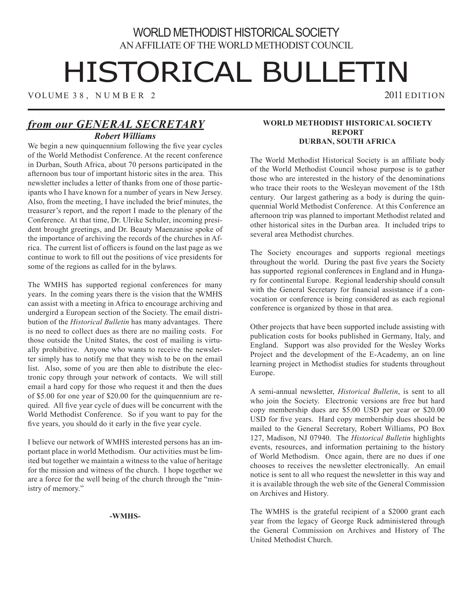# WORLD METHODIST HISTORICAL SOCIETY AN AFFILIATE OF THE WORLD METHODIST COUNCIL

# HISTORICAL BULLETIN

VOLUME 38, NUMBER 2 2011 EDITION

### *from our GENERAL SECRETARY Robert Williams*

We begin a new quinquennium following the five year cycles of the World Methodist Conference. At the recent conference in Durban, South Africa, about 70 persons participated in the afternoon bus tour of important historic sites in the area. This newsletter includes a letter of thanks from one of those participants who I have known for a number of years in New Jersey. Also, from the meeting, I have included the brief minutes, the treasurer's report, and the report I made to the plenary of the Conference. At that time, Dr. Ulrike Schuler, incoming president brought greetings, and Dr. Beauty Maenzanise spoke of the importance of archiving the records of the churches in Africa. The current list of officers is found on the last page as we continue to work to fill out the positions of vice presidents for some of the regions as called for in the bylaws.

The WMHS has supported regional conferences for many years. In the coming years there is the vision that the WMHS can assist with a meeting in Africa to encourage archiving and undergird a European section of the Society. The email distribution of the *Historical Bulletin* has many advantages. There is no need to collect dues as there are no mailing costs. For those outside the United States, the cost of mailing is virtually prohibitive. Anyone who wants to receive the newsletter simply has to notify me that they wish to be on the email list. Also, some of you are then able to distribute the electronic copy through your network of contacts. We will still email a hard copy for those who request it and then the dues of \$5.00 for one year of \$20.00 for the quinquennium are required. All five year cycle of dues will be concurrent with the World Methodist Conference. So if you want to pay for the five years, you should do it early in the five year cycle.

I believe our network of WMHS interested persons has an important place in world Methodism. Our activities must be limited but together we maintain a witness to the value of heritage for the mission and witness of the church. I hope together we are a force for the well being of the church through the "ministry of memory."

#### **-WMHS-**

#### **World Methodist Historical Society Report Durban, South Africa**

The World Methodist Historical Society is an affiliate body of the World Methodist Council whose purpose is to gather those who are interested in the history of the denominations who trace their roots to the Wesleyan movement of the 18th century. Our largest gathering as a body is during the quinquennial World Methodist Conference. At this Conference an afternoon trip was planned to important Methodist related and other historical sites in the Durban area. It included trips to several area Methodist churches.

The Society encourages and supports regional meetings throughout the world. During the past five years the Society has supported regional conferences in England and in Hungary for continental Europe. Regional leadership should consult with the General Secretary for financial assistance if a convocation or conference is being considered as each regional conference is organized by those in that area.

Other projects that have been supported include assisting with publication costs for books published in Germany, Italy, and England. Support was also provided for the Wesley Works Project and the development of the E-Academy, an on line learning project in Methodist studies for students throughout Europe.

A semi-annual newsletter, *Historical Bulletin*, is sent to all who join the Society. Electronic versions are free but hard copy membership dues are \$5.00 USD per year or \$20.00 USD for five years. Hard copy membership dues should be mailed to the General Secretary, Robert Williams, PO Box 127, Madison, NJ 07940. The *Historical Bulletin* highlights events, resources, and information pertaining to the history of World Methodism. Once again, there are no dues if one chooses to receives the newsletter electronically. An email notice is sent to all who request the newsletter in this way and it is available through the web site of the General Commission on Archives and History.

The WMHS is the grateful recipient of a \$2000 grant each year from the legacy of George Ruck administered through the General Commission on Archives and History of The United Methodist Church.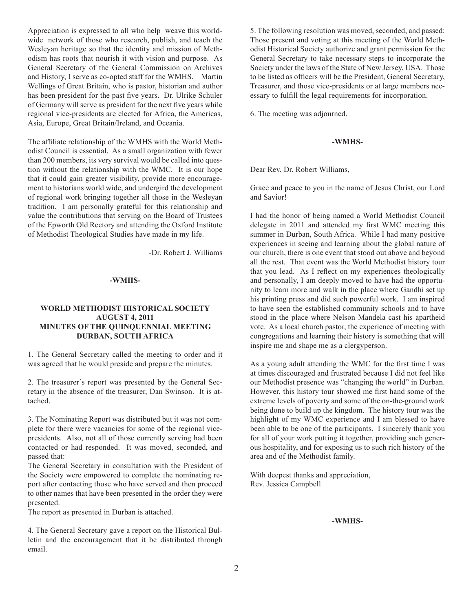Appreciation is expressed to all who help weave this worldwide network of those who research, publish, and teach the Wesleyan heritage so that the identity and mission of Methodism has roots that nourish it with vision and purpose. As General Secretary of the General Commission on Archives and History, I serve as co-opted staff for the WMHS. Martin Wellings of Great Britain, who is pastor, historian and author has been president for the past five years. Dr. Ulrike Schuler of Germany will serve as president for the next five years while regional vice-presidents are elected for Africa, the Americas, Asia, Europe, Great Britain/Ireland, and Oceania.

The affiliate relationship of the WMHS with the World Methodist Council is essential. As a small organization with fewer than 200 members, its very survival would be called into question without the relationship with the WMC. It is our hope that it could gain greater visibility, provide more encouragement to historians world wide, and undergird the development of regional work bringing together all those in the Wesleyan tradition. I am personally grateful for this relationship and value the contributions that serving on the Board of Trustees of the Epworth Old Rectory and attending the Oxford Institute of Methodist Theological Studies have made in my life.

-Dr. Robert J. Williams

#### **-WMHS-**

#### **World Methodist Historical Society August 4, 2011 Minutes of the Quinquennial Meeting Durban, South Africa**

1. The General Secretary called the meeting to order and it was agreed that he would preside and prepare the minutes.

2. The treasurer's report was presented by the General Secretary in the absence of the treasurer, Dan Swinson. It is attached.

3. The Nominating Report was distributed but it was not complete for there were vacancies for some of the regional vicepresidents. Also, not all of those currently serving had been contacted or had responded. It was moved, seconded, and passed that:

The General Secretary in consultation with the President of the Society were empowered to complete the nominating report after contacting those who have served and then proceed to other names that have been presented in the order they were presented.

The report as presented in Durban is attached.

4. The General Secretary gave a report on the Historical Bulletin and the encouragement that it be distributed through email.

5. The following resolution was moved, seconded, and passed: Those present and voting at this meeting of the World Methodist Historical Society authorize and grant permission for the General Secretary to take necessary steps to incorporate the Society under the laws of the State of New Jersey, USA. Those to be listed as officers will be the President, General Secretary, Treasurer, and those vice-presidents or at large members necessary to fulfill the legal requirements for incorporation.

6. The meeting was adjourned.

#### **-WMHS-**

Dear Rev. Dr. Robert Williams,

Grace and peace to you in the name of Jesus Christ, our Lord and Savior!

I had the honor of being named a World Methodist Council delegate in 2011 and attended my first WMC meeting this summer in Durban, South Africa. While I had many positive experiences in seeing and learning about the global nature of our church, there is one event that stood out above and beyond all the rest. That event was the World Methodist history tour that you lead. As I reflect on my experiences theologically and personally, I am deeply moved to have had the opportunity to learn more and walk in the place where Gandhi set up his printing press and did such powerful work. I am inspired to have seen the established community schools and to have stood in the place where Nelson Mandela cast his apartheid vote. As a local church pastor, the experience of meeting with congregations and learning their history is something that will inspire me and shape me as a clergyperson.

As a young adult attending the WMC for the first time I was at times discouraged and frustrated because I did not feel like our Methodist presence was "changing the world" in Durban. However, this history tour showed me first hand some of the extreme levels of poverty and some of the on-the-ground work being done to build up the kingdom. The history tour was the highlight of my WMC experience and I am blessed to have been able to be one of the participants. I sincerely thank you for all of your work putting it together, providing such generous hospitality, and for exposing us to such rich history of the area and of the Methodist family.

With deepest thanks and appreciation, Rev. Jessica Campbell

#### **-WMHS-**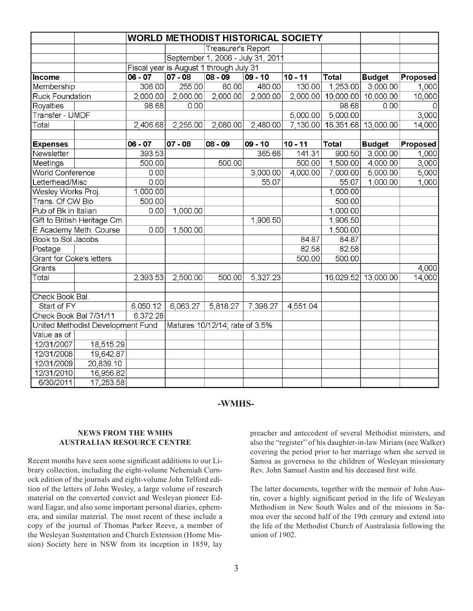|                                   |           |           |                                         | <b>WORLD METHODIST HISTORICAL SOCIETY</b> |           |           |                              |                     |          |
|-----------------------------------|-----------|-----------|-----------------------------------------|-------------------------------------------|-----------|-----------|------------------------------|---------------------|----------|
|                                   |           |           | Treasurer's Report                      |                                           |           |           |                              |                     |          |
|                                   |           |           | September 1, 2006 - July 31, 2011       |                                           |           |           |                              |                     |          |
|                                   |           |           | Fiscal year is August 1 through July 31 |                                           |           |           |                              |                     |          |
| Income                            |           | $06 - 07$ | $07 - 08$                               | $08 - 09$                                 | $09 - 10$ | $10 - 11$ | <b>Total</b>                 | <b>Budget</b>       | Proposed |
| Membership                        |           | 308.00    | 255.00                                  | 80.00                                     | 480.00    | 130.00    | 1,253.00                     | 3,000.00            | 1,000    |
| <b>Ruck Foundation</b>            |           | 2,000.00  | 2,000.00                                | 2,000.00                                  | 2,000.00  | 2,000.00  |                              | 10,000.00 10,000.00 | 10,000   |
| Royalties                         |           | 98.68     | 0.00                                    |                                           |           |           | 98.68                        | 0.00                |          |
| <b>Transfer - UMDF</b>            |           |           |                                         |                                           |           | 5,000.00  | 5,000.00                     |                     | 3,000    |
| Total                             |           | 2,406.68  | 2,255.00                                | 2,080.00                                  | 2,480.00  |           | 7,130.00 16,351.68 13,000.00 |                     | 14,000   |
|                                   |           |           |                                         |                                           |           |           |                              |                     |          |
| <b>Expenses</b>                   |           | $06 - 07$ | $07 - 08$                               | $08 - 09$                                 | $09 - 10$ | $10 - 11$ | <b>Total</b>                 | <b>Budget</b>       | Proposed |
| Newsletter                        |           | 393.53    |                                         |                                           | 365.66    | 141.31    | 900.50                       | 3,000.00            | 1,000    |
| Meetings                          |           | 500.00    |                                         | 500.00                                    |           | 500.00    | 1,500.00                     | 4,000.00            | 3,000    |
| <b>World Conference</b>           |           | 0.00      |                                         |                                           | 3,000.00  | 4,000.00  | 7,000.00                     | 5,000.00            | 5,000    |
| Letterhead/Misc                   |           | 0.00      |                                         |                                           | 55.07     |           | 55.07                        | 1,000.00            | 1,000    |
| Wesley Works Proj.                |           | 1,000.00  |                                         |                                           |           |           | 1,000.00                     |                     |          |
| Trans. Of CW Bio                  |           | 500.00    |                                         |                                           |           |           | 500.00                       |                     |          |
| Pub of Bk in Italian              |           | 0.00      | 1,000.00                                |                                           |           |           | 1,000.00                     |                     |          |
| Gift to British Heritage Cm       |           |           |                                         |                                           | 1,906.50  |           | 1,906.50                     |                     |          |
| E Academy Meth. Course            |           | 0.00      | 1,500.00                                |                                           |           |           | 1,500.00                     |                     |          |
| Book to Sol Jacobs                |           |           |                                         |                                           |           | 84.87     | 84.87                        |                     |          |
| Postage                           |           |           |                                         |                                           |           | 82.58     | 82.58                        |                     |          |
| <b>Grant for Coke's letters</b>   |           |           |                                         |                                           |           | 500.00    | 500.00                       |                     |          |
| Grants                            |           |           |                                         |                                           |           |           |                              |                     | 4,000    |
| Total                             |           | 2,393.53  | 2,500.00                                | 500.00                                    | 5,327.23  |           | 16,029.52                    | 13,000.00           | 14,000   |
| Check Book Bal.                   |           |           |                                         |                                           |           |           |                              |                     |          |
| Start of FY                       |           | 6,050.12  | 6,063.27                                | 5,818.27                                  | 7,398.27  | 4,551.04  |                              |                     |          |
| Check Book Bal 7/31/11            |           | 6,372.28  |                                         |                                           |           |           |                              |                     |          |
| United Methodist Development Fund |           |           |                                         | Matures 10/12/14; rate of 3.5%            |           |           |                              |                     |          |
| Value as of                       |           |           |                                         |                                           |           |           |                              |                     |          |
| 12/31/2007                        | 18,515.29 |           |                                         |                                           |           |           |                              |                     |          |
| 12/31/2008                        | 19,642.87 |           |                                         |                                           |           |           |                              |                     |          |
| 12/31/2009                        | 20,839.10 |           |                                         |                                           |           |           |                              |                     |          |
| 12/31/2010                        | 16,956.82 |           |                                         |                                           |           |           |                              |                     |          |
| 6/30/2011                         | 17,253.58 |           |                                         |                                           |           |           |                              |                     |          |

#### **-WMHS-**

#### **NEWS FROM THE WMHS AUSTRALIAN RESOURCE CENTRE**

Recent months have seen some significant additions to our Library collection, including the eight-volume Nehemiah Curnock edition of the journals and eight-volume John Telford edition of the letters of John Wesley, a large volume of research material on the converted convict and Wesleyan pioneer Edward Eagar, and also some important personal diaries, ephemera, and similar material. The most recent of these include a copy of the journal of Thomas Parker Reeve, a member of the Wesleyan Sustentation and Church Extension (Home Mission) Society here in NSW from its inception in 1859, lay

preacher and antecedent of several Methodist ministers, and also the "register" of his daughter-in-law Miriam (nee Walker) covering the period prior to her marriage when she served in Samoa as governess to the children of Wesleyan missionary Rev. John Samuel Austin and his deceased first wife.

The latter documents, together with the memoir of John Austin, cover a highly significant period in the life of Wesleyan Methodism in New South Wales and of the missions in Samoa over the second half of the 19th century and extend into the life of the Methodist Church of Australasia following the union of 1902.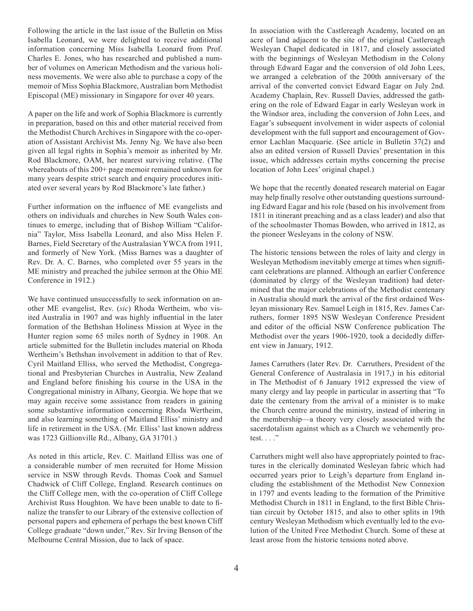Following the article in the last issue of the Bulletin on Miss Isabella Leonard, we were delighted to receive additional information concerning Miss Isabella Leonard from Prof. Charles E. Jones, who has researched and published a number of volumes on American Methodism and the various holiness movements. We were also able to purchase a copy of the memoir of Miss Sophia Blackmore, Australian born Methodist Episcopal (ME) missionary in Singapore for over 40 years.

A paper on the life and work of Sophia Blackmore is currently in preparation, based on this and other material received from the Methodist Church Archives in Singapore with the co-operation of Assistant Archivist Ms. Jenny Ng. We have also been given all legal rights in Sophia's memoir as inherited by Mr. Rod Blackmore, OAM, her nearest surviving relative. (The whereabouts of this 200+ page memoir remained unknown for many years despite strict search and enquiry procedures initiated over several years by Rod Blackmore's late father.)

Further information on the influence of ME evangelists and others on individuals and churches in New South Wales continues to emerge, including that of Bishop William "California" Taylor, Miss Isabella Leonard, and also Miss Helen F. Barnes, Field Secretary of the Australasian YWCA from 1911, and formerly of New York. (Miss Barnes was a daughter of Rev. Dr. A. C. Barnes, who completed over 55 years in the ME ministry and preached the jubilee sermon at the Ohio ME Conference in 1912.)

We have continued unsuccessfully to seek information on another ME evangelist, Rev. (*sic*) Rhoda Wertheim, who visited Australia in 1907 and was highly influential in the later formation of the Bethshan Holiness Mission at Wyee in the Hunter region some 65 miles north of Sydney in 1908. An article submitted for the Bulletin includes material on Rhoda Wertheim's Bethshan involvement in addition to that of Rev. Cyril Maitland Elliss, who served the Methodist, Congregational and Presbyterian Churches in Australia, New Zealand and England before finishing his course in the USA in the Congregational ministry in Albany, Georgia. We hope that we may again receive some assistance from readers in gaining some substantive information concerning Rhoda Wertheim, and also learning something of Maitland Elliss' ministry and life in retirement in the USA. (Mr. Elliss' last known address was 1723 Gillionville Rd., Albany, GA 31701.)

As noted in this article, Rev. C. Maitland Elliss was one of a considerable number of men recruited for Home Mission service in NSW through Revds. Thomas Cook and Samuel Chadwick of Cliff College, England. Research continues on the Cliff College men, with the co-operation of Cliff College Archivist Russ Houghton. We have been unable to date to finalize the transfer to our Library of the extensive collection of personal papers and ephemera of perhaps the best known Cliff College graduate "down under," Rev. Sir Irving Benson of the Melbourne Central Mission, due to lack of space.

In association with the Castlereagh Academy, located on an acre of land adjacent to the site of the original Castlereagh Wesleyan Chapel dedicated in 1817, and closely associated with the beginnings of Wesleyan Methodism in the Colony through Edward Eagar and the conversion of old John Lees, we arranged a celebration of the 200th anniversary of the arrival of the converted convict Edward Eagar on July 2nd. Academy Chaplain, Rev. Russell Davies, addressed the gathering on the role of Edward Eagar in early Wesleyan work in the Windsor area, including the conversion of John Lees, and Eagar's subsequent involvement in wider aspects of colonial development with the full support and encouragement of Governor Lachlan Macquarie. (See article in Bulletin 37(2) and also an edited version of Russell Davies' presentation in this issue, which addresses certain myths concerning the precise location of John Lees' original chapel.)

We hope that the recently donated research material on Eagar may help finally resolve other outstanding questions surrounding Edward Eagar and his role (based on his involvement from 1811 in itinerant preaching and as a class leader) and also that of the schoolmaster Thomas Bowden, who arrived in 1812, as the pioneer Wesleyans in the colony of NSW.

The historic tensions between the roles of laity and clergy in Wesleyan Methodism inevitably emerge at times when significant celebrations are planned. Although an earlier Conference (dominated by clergy of the Wesleyan tradition) had determined that the major celebrations of the Methodist centenary in Australia should mark the arrival of the first ordained Wesleyan missionary Rev. Samuel Leigh in 1815, Rev. James Carruthers, former 1895 NSW Wesleyan Conference President and editor of the official NSW Conference publication The Methodist over the years 1906-1920, took a decidedly different view in January, 1912.

James Carruthers (later Rev. Dr. Carruthers, President of the General Conference of Australasia in 1917,) in his editorial in The Methodist of 6 January 1912 expressed the view of many clergy and lay people in particular in asserting that "To date the centenary from the arrival of a minister is to make the Church centre around the ministry, instead of inhering in the membership—a theory very closely associated with the sacerdotalism against which as a Church we vehemently protest. . . ."

Carruthers might well also have appropriately pointed to fractures in the clerically dominated Wesleyan fabric which had occurred years prior to Leigh's departure from England including the establishment of the Methodist New Connexion in 1797 and events leading to the formation of the Primitive Methodist Church in 1811 in England, to the first Bible Christian circuit by October 1815, and also to other splits in 19th century Wesleyan Methodism which eventually led to the evolution of the United Free Methodist Church. Some of these at least arose from the historic tensions noted above.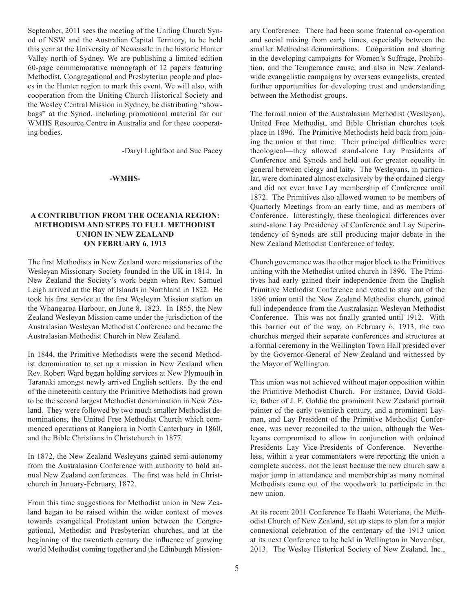September, 2011 sees the meeting of the Uniting Church Synod of NSW and the Australian Capital Territory, to be held this year at the University of Newcastle in the historic Hunter Valley north of Sydney. We are publishing a limited edition 60-page commemorative monograph of 12 papers featuring Methodist, Congregational and Presbyterian people and places in the Hunter region to mark this event. We will also, with cooperation from the Uniting Church Historical Society and the Wesley Central Mission in Sydney, be distributing "showbags" at the Synod, including promotional material for our WMHS Resource Centre in Australia and for these cooperating bodies.

-Daryl Lightfoot and Sue Pacey

#### **-WMHS-**

#### **A Contribution from the Oceania Region: Methodism and Steps to Full Methodist Union in New Zealand on February 6, 1913**

The first Methodists in New Zealand were missionaries of the Wesleyan Missionary Society founded in the UK in 1814. In New Zealand the Society's work began when Rev. Samuel Leigh arrived at the Bay of Islands in Northland in 1822. He took his first service at the first Wesleyan Mission station on the Whangaroa Harbour, on June 8, 1823. In 1855, the New Zealand Wesleyan Mission came under the jurisdiction of the Australasian Wesleyan Methodist Conference and became the Australasian Methodist Church in New Zealand.

In 1844, the Primitive Methodists were the second Methodist denomination to set up a mission in New Zealand when Rev. Robert Ward began holding services at New Plymouth in Taranaki amongst newly arrived English settlers. By the end of the nineteenth century the Primitive Methodists had grown to be the second largest Methodist denomination in New Zealand. They were followed by two much smaller Methodist denominations, the United Free Methodist Church which commenced operations at Rangiora in North Canterbury in 1860, and the Bible Christians in Christchurch in 1877.

In 1872, the New Zealand Wesleyans gained semi-autonomy from the Australasian Conference with authority to hold annual New Zealand conferences. The first was held in Christchurch in January-February, 1872.

From this time suggestions for Methodist union in New Zealand began to be raised within the wider context of moves towards evangelical Protestant union between the Congregational, Methodist and Presbyterian churches, and at the beginning of the twentieth century the influence of growing world Methodist coming together and the Edinburgh Missionary Conference. There had been some fraternal co-operation and social mixing from early times, especially between the smaller Methodist denominations. Cooperation and sharing in the developing campaigns for Women's Suffrage, Prohibition, and the Temperance cause, and also in New Zealandwide evangelistic campaigns by overseas evangelists, created further opportunities for developing trust and understanding between the Methodist groups.

The formal union of the Australasian Methodist (Wesleyan), United Free Methodist, and Bible Christian churches took place in 1896. The Primitive Methodists held back from joining the union at that time. Their principal difficulties were theological—they allowed stand-alone Lay Presidents of Conference and Synods and held out for greater equality in general between clergy and laity. The Wesleyans, in particular, were dominated almost exclusively by the ordained clergy and did not even have Lay membership of Conference until 1872. The Primitives also allowed women to be members of Quarterly Meetings from an early time, and as members of Conference. Interestingly, these theological differences over stand-alone Lay Presidency of Conference and Lay Superintendency of Synods are still producing major debate in the New Zealand Methodist Conference of today.

Church governance was the other major block to the Primitives uniting with the Methodist united church in 1896. The Primitives had early gained their independence from the English Primitive Methodist Conference and voted to stay out of the 1896 union until the New Zealand Methodist church, gained full independence from the Australasian Wesleyan Methodist Conference. This was not finally granted until 1912. With this barrier out of the way, on February 6, 1913, the two churches merged their separate conferences and structures at a formal ceremony in the Wellington Town Hall presided over by the Governor-General of New Zealand and witnessed by the Mayor of Wellington.

This union was not achieved without major opposition within the Primitive Methodist Church. For instance, David Goldie, father of J. F. Goldie the prominent New Zealand portrait painter of the early twentieth century, and a prominent Layman, and Lay President of the Primitive Methodist Conference, was never reconciled to the union, although the Wesleyans compromised to allow in conjunction with ordained Presidents Lay Vice-Presidents of Conference. Nevertheless, within a year commentators were reporting the union a complete success, not the least because the new church saw a major jump in attendance and membership as many nominal Methodists came out of the woodwork to participate in the new union.

At its recent 2011 Conference Te Haahi Weteriana, the Methodist Church of New Zealand, set up steps to plan for a major connexional celebration of the centenary of the 1913 union at its next Conference to be held in Wellington in November, 2013. The Wesley Historical Society of New Zealand, Inc.,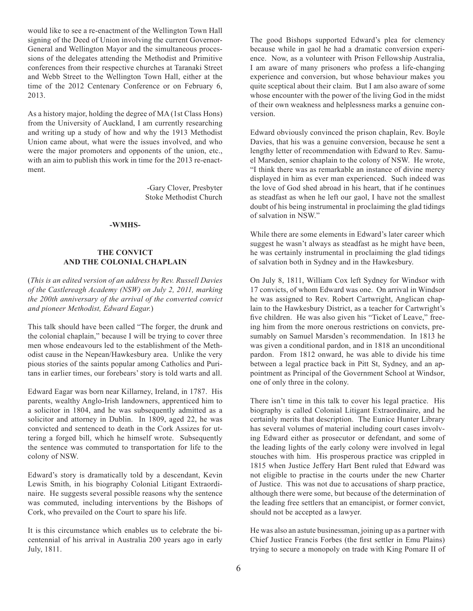would like to see a re-enactment of the Wellington Town Hall signing of the Deed of Union involving the current Governor-General and Wellington Mayor and the simultaneous processions of the delegates attending the Methodist and Primitive conferences from their respective churches at Taranaki Street and Webb Street to the Wellington Town Hall, either at the time of the 2012 Centenary Conference or on February 6, 2013.

As a history major, holding the degree of MA (1st Class Hons) from the University of Auckland, I am currently researching and writing up a study of how and why the 1913 Methodist Union came about, what were the issues involved, and who were the major promoters and opponents of the union, etc., with an aim to publish this work in time for the 2013 re-enactment.

> -Gary Clover, Presbyter Stoke Methodist Church

#### **-WMHS-**

#### **The Convict and the Colonial Chaplain**

(*This is an edited version of an address by Rev. Russell Davies of the Castlereagh Academy (NSW) on July 2, 2011, marking the 200th anniversary of the arrival of the converted convict and pioneer Methodist, Edward Eagar.*)

This talk should have been called "The forger, the drunk and the colonial chaplain," because I will be trying to cover three men whose endeavours led to the establishment of the Methodist cause in the Nepean/Hawkesbury area. Unlike the very pious stories of the saints popular among Catholics and Puritans in earlier times, our forebears' story is told warts and all.

Edward Eagar was born near Killarney, Ireland, in 1787. His parents, wealthy Anglo-Irish landowners, apprenticed him to a solicitor in 1804, and he was subsequently admitted as a solicitor and attorney in Dublin. In 1809, aged 22, he was convicted and sentenced to death in the Cork Assizes for uttering a forged bill, which he himself wrote. Subsequently the sentence was commuted to transportation for life to the colony of NSW.

Edward's story is dramatically told by a descendant, Kevin Lewis Smith, in his biography Colonial Litigant Extraordinaire. He suggests several possible reasons why the sentence was commuted, including interventions by the Bishops of Cork, who prevailed on the Court to spare his life.

It is this circumstance which enables us to celebrate the bicentennial of his arrival in Australia 200 years ago in early July, 1811.

The good Bishops supported Edward's plea for clemency because while in gaol he had a dramatic conversion experience. Now, as a volunteer with Prison Fellowship Australia, I am aware of many prisoners who profess a life-changing experience and conversion, but whose behaviour makes you quite sceptical about their claim. But I am also aware of some whose encounter with the power of the living God in the midst of their own weakness and helplessness marks a genuine conversion.

Edward obviously convinced the prison chaplain, Rev. Boyle Davies, that his was a genuine conversion, because he sent a lengthy letter of recommendation with Edward to Rev. Samuel Marsden, senior chaplain to the colony of NSW. He wrote, "I think there was as remarkable an instance of divine mercy displayed in him as ever man experienced. Such indeed was the love of God shed abroad in his heart, that if he continues as steadfast as when he left our gaol, I have not the smallest doubt of his being instrumental in proclaiming the glad tidings of salvation in NSW."

While there are some elements in Edward's later career which suggest he wasn't always as steadfast as he might have been, he was certainly instrumental in proclaiming the glad tidings of salvation both in Sydney and in the Hawkesbury.

On July 8, 1811, William Cox left Sydney for Windsor with 17 convicts, of whom Edward was one. On arrival in Windsor he was assigned to Rev. Robert Cartwright, Anglican chaplain to the Hawkesbury District, as a teacher for Cartwright's five children. He was also given his "Ticket of Leave," freeing him from the more onerous restrictions on convicts, presumably on Samuel Marsden's recommendation. In 1813 he was given a conditional pardon, and in 1818 an unconditional pardon. From 1812 onward, he was able to divide his time between a legal practice back in Pitt St, Sydney, and an appointment as Principal of the Government School at Windsor, one of only three in the colony.

There isn't time in this talk to cover his legal practice. His biography is called Colonial Litigant Extraordinaire, and he certainly merits that description. The Eunice Hunter Library has several volumes of material including court cases involving Edward either as prosecutor or defendant, and some of the leading lights of the early colony were involved in legal stouches with him. His prosperous practice was crippled in 1815 when Justice Jeffery Hart Bent ruled that Edward was not eligible to practise in the courts under the new Charter of Justice. This was not due to accusations of sharp practice, although there were some, but because of the determination of the leading free settlers that an emancipist, or former convict, should not be accepted as a lawyer.

He was also an astute businessman, joining up as a partner with Chief Justice Francis Forbes (the first settler in Emu Plains) trying to secure a monopoly on trade with King Pomare II of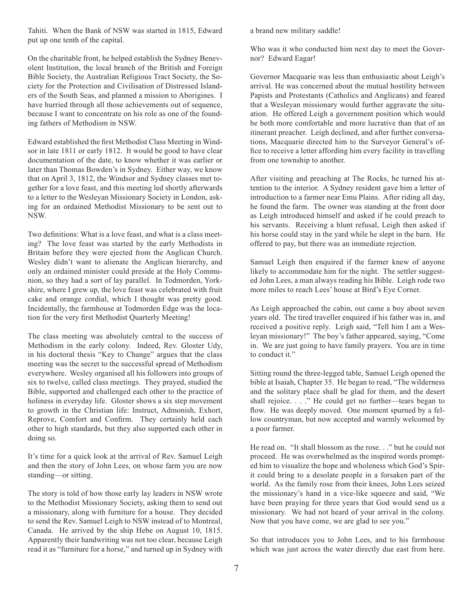Tahiti. When the Bank of NSW was started in 1815, Edward put up one tenth of the capital.

On the charitable front, he helped establish the Sydney Benevolent Institution, the local branch of the British and Foreign Bible Society, the Australian Religious Tract Society, the Society for the Protection and Civilisation of Distressed Islanders of the South Seas, and planned a mission to Aborigines. I have hurried through all those achievements out of sequence, because I want to concentrate on his role as one of the founding fathers of Methodism in NSW.

Edward established the first Methodist Class Meeting in Windsor in late 1811 or early 1812. It would be good to have clear documentation of the date, to know whether it was earlier or later than Thomas Bowden's in Sydney. Either way, we know that on April 3, 1812, the Windsor and Sydney classes met together for a love feast, and this meeting led shortly afterwards to a letter to the Wesleyan Missionary Society in London, asking for an ordained Methodist Missionary to be sent out to NSW.

Two definitions: What is a love feast, and what is a class meeting? The love feast was started by the early Methodists in Britain before they were ejected from the Anglican Church. Wesley didn't want to alienate the Anglican hierarchy, and only an ordained minister could preside at the Holy Communion, so they had a sort of lay parallel. In Todmorden, Yorkshire, where I grew up, the love feast was celebrated with fruit cake and orange cordial, which I thought was pretty good. Incidentally, the farmhouse at Todmorden Edge was the location for the very first Methodist Quarterly Meeting!

The class meeting was absolutely central to the success of Methodism in the early colony. Indeed, Rev. Gloster Udy, in his doctoral thesis "Key to Change" argues that the class meeting was the secret to the successful spread of Methodism everywhere. Wesley organised all his followers into groups of six to twelve, called class meetings. They prayed, studied the Bible, supported and challenged each other to the practice of holiness in everyday life. Gloster shows a six step movement to growth in the Christian life: Instruct, Admonish, Exhort, Reprove, Comfort and Confirm. They certainly held each other to high standards, but they also supported each other in doing so.

It's time for a quick look at the arrival of Rev. Samuel Leigh and then the story of John Lees, on whose farm you are now standing—or sitting.

The story is told of how those early lay leaders in NSW wrote to the Methodist Missionary Society, asking them to send out a missionary, along with furniture for a house. They decided to send the Rev. Samuel Leigh to NSW instead of to Montreal, Canada. He arrived by the ship Hebe on August 10, 1815. Apparently their handwriting was not too clear, because Leigh read it as "furniture for a horse," and turned up in Sydney with a brand new military saddle!

Who was it who conducted him next day to meet the Governor? Edward Eagar!

Governor Macquarie was less than enthusiastic about Leigh's arrival. He was concerned about the mutual hostility between Papists and Protestants (Catholics and Anglicans) and feared that a Wesleyan missionary would further aggravate the situation. He offered Leigh a government position which would be both more comfortable and more lucrative than that of an itinerant preacher. Leigh declined, and after further conversations, Macquarie directed him to the Surveyor General's office to receive a letter affording him every facility in travelling from one township to another.

After visiting and preaching at The Rocks, he turned his attention to the interior. A Sydney resident gave him a letter of introduction to a farmer near Emu Plains. After riding all day, he found the farm. The owner was standing at the front door as Leigh introduced himself and asked if he could preach to his servants. Receiving a blunt refusal, Leigh then asked if his horse could stay in the yard while he slept in the barn. He offered to pay, but there was an immediate rejection.

Samuel Leigh then enquired if the farmer knew of anyone likely to accommodate him for the night. The settler suggested John Lees, a man always reading his Bible. Leigh rode two more miles to reach Lees' house at Bird's Eye Corner.

As Leigh approached the cabin, out came a boy about seven years old. The tired traveller enquired if his father was in, and received a positive reply. Leigh said, "Tell him I am a Wesleyan missionary!" The boy's father appeared, saying, "Come in. We are just going to have family prayers. You are in time to conduct it."

Sitting round the three-legged table, Samuel Leigh opened the bible at Isaiah, Chapter 35. He began to read, "The wilderness and the solitary place shall be glad for them, and the desert shall rejoice. . . ." He could get no further—tears began to flow. He was deeply moved. One moment spurned by a fellow countryman, but now accepted and warmly welcomed by a poor farmer.

He read on. "It shall blossom as the rose. . ." but he could not proceed. He was overwhelmed as the inspired words prompted him to visualize the hope and wholeness which God's Spirit could bring to a desolate people in a forsaken part of the world. As the family rose from their knees, John Lees seized the missionary's hand in a vice-like squeeze and said, "We have been praying for three years that God would send us a missionary. We had not heard of your arrival in the colony. Now that you have come, we are glad to see you."

So that introduces you to John Lees, and to his farmhouse which was just across the water directly due east from here.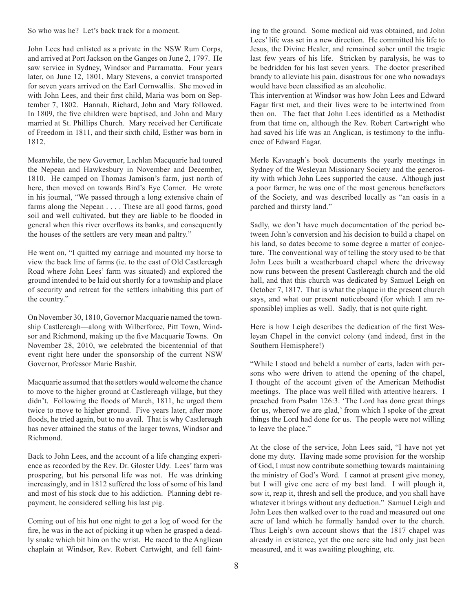So who was he? Let's back track for a moment.

John Lees had enlisted as a private in the NSW Rum Corps, and arrived at Port Jackson on the Ganges on June 2, 1797. He saw service in Sydney, Windsor and Parramatta. Four years later, on June 12, 1801, Mary Stevens, a convict transported for seven years arrived on the Earl Cornwallis. She moved in with John Lees, and their first child, Maria was born on September 7, 1802. Hannah, Richard, John and Mary followed. In 1809, the five children were baptised, and John and Mary married at St. Phillips Church. Mary received her Certificate of Freedom in 1811, and their sixth child, Esther was born in 1812.

Meanwhile, the new Governor, Lachlan Macquarie had toured the Nepean and Hawkesbury in November and December, 1810. He camped on Thomas Jamison's farm, just north of here, then moved on towards Bird's Eye Corner. He wrote in his journal, "We passed through a long extensive chain of farms along the Nepean . . . . These are all good farms, good soil and well cultivated, but they are liable to be flooded in general when this river overflows its banks, and consequently the houses of the settlers are very mean and paltry."

He went on, "I quitted my carriage and mounted my horse to view the back line of farms (ie. to the east of Old Castlereagh Road where John Lees' farm was situated) and explored the ground intended to be laid out shortly for a township and place of security and retreat for the settlers inhabiting this part of the country."

On November 30, 1810, Governor Macquarie named the township Castlereagh—along with Wilberforce, Pitt Town, Windsor and Richmond, making up the five Macquarie Towns. On November 28, 2010, we celebrated the bicentennial of that event right here under the sponsorship of the current NSW Governor, Professor Marie Bashir.

Macquarie assumed that the settlers would welcome the chance to move to the higher ground at Castlereagh village, but they didn't. Following the floods of March, 1811, he urged them twice to move to higher ground. Five years later, after more floods, he tried again, but to no avail. That is why Castlereagh has never attained the status of the larger towns, Windsor and Richmond.

Back to John Lees, and the account of a life changing experience as recorded by the Rev. Dr. Gloster Udy. Lees' farm was prospering, but his personal life was not. He was drinking increasingly, and in 1812 suffered the loss of some of his land and most of his stock due to his addiction. Planning debt repayment, he considered selling his last pig.

Coming out of his hut one night to get a log of wood for the fire, he was in the act of picking it up when he grasped a deadly snake which bit him on the wrist. He raced to the Anglican chaplain at Windsor, Rev. Robert Cartwight, and fell fainting to the ground. Some medical aid was obtained, and John Lees' life was set in a new direction. He committed his life to Jesus, the Divine Healer, and remained sober until the tragic last few years of his life. Stricken by paralysis, he was to be bedridden for his last seven years. The doctor prescribed brandy to alleviate his pain, disastrous for one who nowadays would have been classified as an alcoholic.

This intervention at Windsor was how John Lees and Edward Eagar first met, and their lives were to be intertwined from then on. The fact that John Lees identified as a Methodist from that time on, although the Rev. Robert Cartwright who had saved his life was an Anglican, is testimony to the influence of Edward Eagar.

Merle Kavanagh's book documents the yearly meetings in Sydney of the Wesleyan Missionary Society and the generosity with which John Lees supported the cause. Although just a poor farmer, he was one of the most generous benefactors of the Society, and was described locally as "an oasis in a parched and thirsty land."

Sadly, we don't have much documentation of the period between John's conversion and his decision to build a chapel on his land, so dates become to some degree a matter of conjecture. The conventional way of telling the story used to be that John Lees built a weatherboard chapel where the driveway now runs between the present Castlereagh church and the old hall, and that this church was dedicated by Samuel Leigh on October 7, 1817. That is what the plaque in the present church says, and what our present noticeboard (for which I am responsible) implies as well. Sadly, that is not quite right.

Here is how Leigh describes the dedication of the first Wesleyan Chapel in the convict colony (and indeed, first in the Southern Hemisphere!)

"While I stood and beheld a number of carts, laden with persons who were driven to attend the opening of the chapel, I thought of the account given of the American Methodist meetings. The place was well filled with attentive hearers. I preached from Psalm 126:3. 'The Lord has done great things for us, whereof we are glad,' from which I spoke of the great things the Lord had done for us. The people were not willing to leave the place."

At the close of the service, John Lees said, "I have not yet done my duty. Having made some provision for the worship of God, I must now contribute something towards maintaining the ministry of God's Word. I cannot at present give money, but I will give one acre of my best land. I will plough it, sow it, reap it, thresh and sell the produce, and you shall have whatever it brings without any deduction." Samuel Leigh and John Lees then walked over to the road and measured out one acre of land which he formally handed over to the church. Thus Leigh's own account shows that the 1817 chapel was already in existence, yet the one acre site had only just been measured, and it was awaiting ploughing, etc.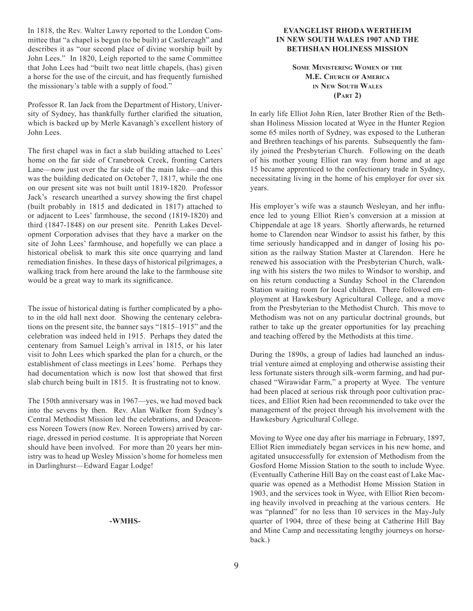In 1818, the Rev. Walter Lawry reported to the London Committee that "a chapel is begun (to be built) at Castlereagh" and describes it as "our second place of divine worship built by John Lees." In 1820, Leigh reported to the same Committee that John Lees had "built two neat little chapels, (has) given a horse for the use of the circuit, and has frequently furnished the missionary's table with a supply of food."

Professor R. Ian Jack from the Department of History, University of Sydney, has thankfully further clarified the situation, which is backed up by Merle Kavanagh's excellent history of John Lees.

The first chapel was in fact a slab building attached to Lees' home on the far side of Cranebrook Creek, fronting Carters Lane—now just over the far side of the main lake—and this was the building dedicated on October 7, 1817, while the one on our present site was not built until 1819-1820. Professor Jack's research unearthed a survey showing the first chapel (built probably in 1815 and dedicated in 1817) attached to or adjacent to Lees' farmhouse, the second (1819-1820) and third (1847-1848) on our present site. Penrith Lakes Development Corporation advises that they have a marker on the site of John Lees' farmhouse, and hopefully we can place a historical obelisk to mark this site once quarrying and land remediation finishes. In these days of historical pilgrimages, a walking track from here around the lake to the farmhouse site would be a great way to mark its significance.

The issue of historical dating is further complicated by a photo in the old hall next door. Showing the centenary celebrations on the present site, the banner says "1815–1915" and the celebration was indeed held in 1915. Perhaps they dated the centenary from Samuel Leigh's arrival in 1815, or his later visit to John Lees which sparked the plan for a church, or the establishment of class meetings in Lees' home. Perhaps they had documentation which is now lost that showed that first slab church being built in 1815. It is frustrating not to know.

The 150th anniversary was in 1967—yes, we had moved back into the sevens by then. Rev. Alan Walker from Sydney's Central Methodist Mission led the celebrations, and Deaconess Noreen Towers (now Rev. Noreen Towers) arrived by carriage, dressed in period costume. It is appropriate that Noreen should have been involved. For more than 20 years her ministry was to head up Wesley Mission's home for homeless men in Darlinghurst—Edward Eagar Lodge!

#### **-WMHS-**

#### **Evangelist Rhoda Wertheim in New South Wales 1907 and the Bethshan Holiness Mission**

**Some Ministering Women of the M.E. Church of America in New South Wales (Part 2)**

In early life Elliot John Rien, later Brother Rien of the Bethshan Holiness Mission located at Wyee in the Hunter Region some 65 miles north of Sydney, was exposed to the Lutheran and Brethren teachings of his parents. Subsequently the family joined the Presbyterian Church. Following on the death of his mother young Elliot ran way from home and at age 15 became apprenticed to the confectionary trade in Sydney, necessitating living in the home of his employer for over six years.

His employer's wife was a staunch Wesleyan, and her influence led to young Elliot Rien's conversion at a mission at Chippendale at age 18 years. Shortly afterwards, he returned home to Clarendon near Windsor to assist his father, by this time seriously handicapped and in danger of losing his position as the railway Station Master at Clarendon. Here he renewed his association with the Presbyterian Church, walking with his sisters the two miles to Windsor to worship, and on his return conducting a Sunday School in the Clarendon Station waiting room for local children. There followed employment at Hawkesbury Agricultural College, and a move from the Presbyterian to the Methodist Church. This move to Methodism was not on any particular doctrinal grounds, but rather to take up the greater opportunities for lay preaching and teaching offered by the Methodists at this time.

During the 1890s, a group of ladies had launched an industrial venture aimed at employing and otherwise assisting their less fortunate sisters through silk-worm farming, and had purchased "Wirawidar Farm," a property at Wyee. The venture had been placed at serious risk through poor cultivation practices, and Elliot Rien had been recommended to take over the management of the project through his involvement with the Hawkesbury Agricultural College.

Moving to Wyee one day after his marriage in February, 1897, Elliot Rien immediately began services in his new home, and agitated unsuccessfully for extension of Methodism from the Gosford Home Mission Station to the south to include Wyee. (Eventually Catherine Hill Bay on the coast east of Lake Macquarie was opened as a Methodist Home Mission Station in 1903, and the services took in Wyee, with Elliot Rien becoming heavily involved in preaching at the various centers. He was "planned" for no less than 10 services in the May-July quarter of 1904, three of these being at Catherine Hill Bay and Mine Camp and necessitating lengthy journeys on horseback.)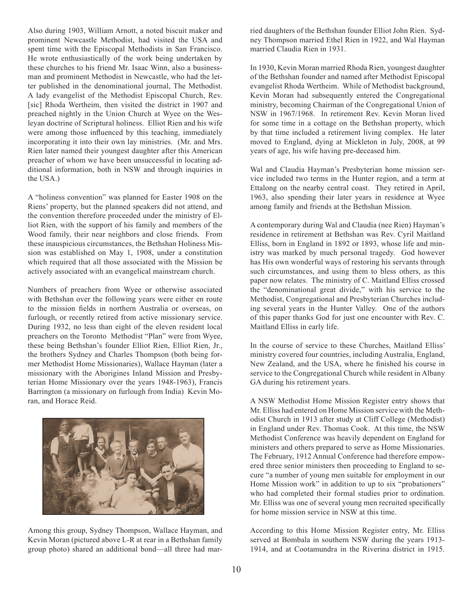Also during 1903, William Arnott, a noted biscuit maker and prominent Newcastle Methodist, had visited the USA and spent time with the Episcopal Methodists in San Francisco. He wrote enthusiastically of the work being undertaken by these churches to his friend Mr. Isaac Winn, also a businessman and prominent Methodist in Newcastle, who had the letter published in the denominational journal, The Methodist. A lady evangelist of the Methodist Episcopal Church, Rev. [sic] Rhoda Wertheim, then visited the district in 1907 and preached nightly in the Union Church at Wyee on the Wesleyan doctrine of Scriptural holiness. Elliot Rien and his wife were among those influenced by this teaching, immediately incorporating it into their own lay ministries. (Mr. and Mrs. Rien later named their youngest daughter after this American preacher of whom we have been unsuccessful in locating additional information, both in NSW and through inquiries in the USA.)

A "holiness convention" was planned for Easter 1908 on the Riens' property, but the planned speakers did not attend, and the convention therefore proceeded under the ministry of Elliot Rien, with the support of his family and members of the Wood family, their near neighbors and close friends. From these inauspicious circumstances, the Bethshan Holiness Mission was established on May 1, 1908, under a constitution which required that all those associated with the Mission be actively associated with an evangelical mainstream church.

Numbers of preachers from Wyee or otherwise associated with Bethshan over the following years were either en route to the mission fields in northern Australia or overseas, on furlough, or recently retired from active missionary service. During 1932, no less than eight of the eleven resident local preachers on the Toronto Methodist "Plan" were from Wyee, these being Bethshan's founder Elliot Rien, Elliot Rien, Jr., the brothers Sydney and Charles Thompson (both being former Methodist Home Missionaries), Wallace Hayman (later a missionary with the Aborigines Inland Mission and Presbyterian Home Missionary over the years 1948-1963), Francis Barrington (a missionary on furlough from India) Kevin Moran, and Horace Reid.



Among this group, Sydney Thompson, Wallace Hayman, and Kevin Moran (pictured above L-R at rear in a Bethshan family group photo) shared an additional bond—all three had married daughters of the Bethshan founder Elliot John Rien. Sydney Thompson married Ethel Rien in 1922, and Wal Hayman married Claudia Rien in 1931.

In 1930, Kevin Moran married Rhoda Rien, youngest daughter of the Bethshan founder and named after Methodist Episcopal evangelist Rhoda Wertheim. While of Methodist background, Kevin Moran had subsequently entered the Congregational ministry, becoming Chairman of the Congregational Union of NSW in 1967/1968. In retirement Rev. Kevin Moran lived for some time in a cottage on the Bethshan property, which by that time included a retirement living complex. He later moved to England, dying at Mickleton in July, 2008, at 99 years of age, his wife having pre-deceased him.

Wal and Claudia Hayman's Presbyterian home mission service included two terms in the Hunter region, and a term at Ettalong on the nearby central coast. They retired in April, 1963, also spending their later years in residence at Wyee among family and friends at the Bethshan Mission.

A contemporary during Wal and Claudia (nee Rien) Hayman's residence in retirement at Bethshan was Rev. Cyril Maitland Elliss, born in England in 1892 or 1893, whose life and ministry was marked by much personal tragedy. God however has His own wonderful ways of restoring his servants through such circumstances, and using them to bless others, as this paper now relates. The ministry of C. Maitland Elliss crossed the "denominational great divide," with his service to the Methodist, Congregational and Presbyterian Churches including several years in the Hunter Valley. One of the authors of this paper thanks God for just one encounter with Rev. C. Maitland Elliss in early life.

In the course of service to these Churches, Maitland Elliss' ministry covered four countries, including Australia, England, New Zealand, and the USA, where he finished his course in service to the Congregational Church while resident in Albany GA during his retirement years.

A NSW Methodist Home Mission Register entry shows that Mr. Elliss had entered on Home Mission service with the Methodist Church in 1913 after study at Cliff College (Methodist) in England under Rev. Thomas Cook. At this time, the NSW Methodist Conference was heavily dependent on England for ministers and others prepared to serve as Home Missionaries. The February, 1912 Annual Conference had therefore empowered three senior ministers then proceeding to England to secure "a number of young men suitable for employment in our Home Mission work" in addition to up to six "probationers" who had completed their formal studies prior to ordination. Mr. Elliss was one of several young men recruited specifically for home mission service in NSW at this time.

According to this Home Mission Register entry, Mr. Elliss served at Bombala in southern NSW during the years 1913- 1914, and at Cootamundra in the Riverina district in 1915.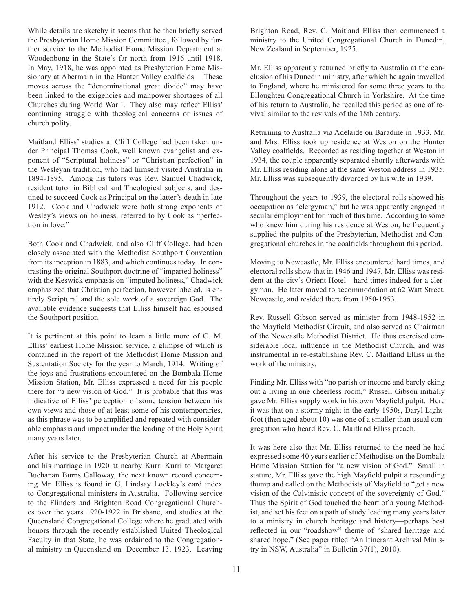While details are sketchy it seems that he then briefly served the Presbyterian Home Mission Committtee , followed by further service to the Methodist Home Mission Department at Woodenbong in the State's far north from 1916 until 1918. In May, 1918, he was appointed as Presbyterian Home Missionary at Abermain in the Hunter Valley coalfields. These moves across the "denominational great divide" may have been linked to the exigencies and manpower shortages of all Churches during World War I. They also may reflect Elliss' continuing struggle with theological concerns or issues of church polity.

Maitland Elliss' studies at Cliff College had been taken under Principal Thomas Cook, well known evangelist and exponent of "Scriptural holiness" or "Christian perfection" in the Wesleyan tradition, who had himself visited Australia in 1894-1895. Among his tutors was Rev. Samuel Chadwick, resident tutor in Biblical and Theological subjects, and destined to succeed Cook as Principal on the latter's death in late 1912. Cook and Chadwick were both strong exponents of Wesley's views on holiness, referred to by Cook as "perfection in love."

Both Cook and Chadwick, and also Cliff College, had been closely associated with the Methodist Southport Convention from its inception in 1883, and which continues today. In contrasting the original Southport doctrine of "imparted holiness" with the Keswick emphasis on "imputed holiness," Chadwick emphasized that Christian perfection, however labeled, is entirely Scriptural and the sole work of a sovereign God. The available evidence suggests that Elliss himself had espoused the Southport position.

It is pertinent at this point to learn a little more of C. M. Elliss' earliest Home Mission service, a glimpse of which is contained in the report of the Methodist Home Mission and Sustentation Society for the year to March, 1914. Writing of the joys and frustrations encountered on the Bombala Home Mission Station, Mr. Elliss expressed a need for his people there for "a new vision of God." It is probable that this was indicative of Elliss' perception of some tension between his own views and those of at least some of his contemporaries, as this phrase was to be amplified and repeated with considerable emphasis and impact under the leading of the Holy Spirit many years later.

After his service to the Presbyterian Church at Abermain and his marriage in 1920 at nearby Kurri Kurri to Margaret Buchanan Burns Galloway, the next known record concerning Mr. Elliss is found in G. Lindsay Lockley's card index to Congregational ministers in Australia. Following service to the Flinders and Brighton Road Congregational Churches over the years 1920-1922 in Brisbane, and studies at the Queensland Congregational College where he graduated with honors through the recently established United Theological Faculty in that State, he was ordained to the Congregational ministry in Queensland on December 13, 1923. Leaving Brighton Road, Rev. C. Maitland Elliss then commenced a ministry to the United Congregational Church in Dunedin, New Zealand in September, 1925.

Mr. Elliss apparently returned briefly to Australia at the conclusion of his Dunedin ministry, after which he again travelled to England, where he ministered for some three years to the Elloughten Congregational Church in Yorkshire. At the time of his return to Australia, he recalled this period as one of revival similar to the revivals of the 18th century.

Returning to Australia via Adelaide on Baradine in 1933, Mr. and Mrs. Elliss took up residence at Weston on the Hunter Valley coalfields. Recorded as residing together at Weston in 1934, the couple apparently separated shortly afterwards with Mr. Elliss residing alone at the same Weston address in 1935. Mr. Elliss was subsequently divorced by his wife in 1939.

Throughout the years to 1939, the electoral rolls showed his occupation as "clergyman," but he was apparently engaged in secular employment for much of this time. According to some who knew him during his residence at Weston, he frequently supplied the pulpits of the Presbyterian, Methodist and Congregational churches in the coalfields throughout this period.

Moving to Newcastle, Mr. Elliss encountered hard times, and electoral rolls show that in 1946 and 1947, Mr. Elliss was resident at the city's Orient Hotel—hard times indeed for a clergyman. He later moved to accommodation at 62 Watt Street, Newcastle, and resided there from 1950-1953.

Rev. Russell Gibson served as minister from 1948-1952 in the Mayfield Methodist Circuit, and also served as Chairman of the Newcastle Methodist District. He thus exercised considerable local influence in the Methodist Church, and was instrumental in re-establishing Rev. C. Maitland Elliss in the work of the ministry.

Finding Mr. Elliss with "no parish or income and barely eking out a living in one cheerless room," Russell Gibson initially gave Mr. Elliss supply work in his own Mayfield pulpit. Here it was that on a stormy night in the early 1950s, Daryl Lightfoot (then aged about 10) was one of a smaller than usual congregation who heard Rev. C. Maitland Elliss preach.

It was here also that Mr. Elliss returned to the need he had expressed some 40 years earlier of Methodists on the Bombala Home Mission Station for "a new vision of God." Small in stature, Mr. Elliss gave the high Mayfield pulpit a resounding thump and called on the Methodists of Mayfield to "get a new vision of the Calvinistic concept of the sovereignty of God." Thus the Spirit of God touched the heart of a young Methodist, and set his feet on a path of study leading many years later to a ministry in church heritage and history—perhaps best reflected in our "roadshow" theme of "shared heritage and shared hope." (See paper titled "An Itinerant Archival Ministry in NSW, Australia" in Bulletin 37(1), 2010).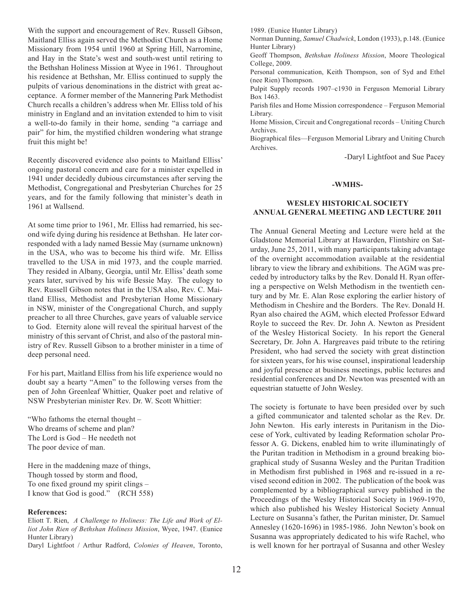With the support and encouragement of Rev. Russell Gibson, Maitland Elliss again served the Methodist Church as a Home Missionary from 1954 until 1960 at Spring Hill, Narromine, and Hay in the State's west and south-west until retiring to the Bethshan Holiness Mission at Wyee in 1961. Throughout his residence at Bethshan, Mr. Elliss continued to supply the pulpits of various denominations in the district with great acceptance. A former member of the Mannering Park Methodist Church recalls a children's address when Mr. Elliss told of his ministry in England and an invitation extended to him to visit a well-to-do family in their home, sending "a carriage and pair" for him, the mystified children wondering what strange fruit this might be!

Recently discovered evidence also points to Maitland Elliss' ongoing pastoral concern and care for a minister expelled in 1941 under decidedly dubious circumstances after serving the Methodist, Congregational and Presbyterian Churches for 25 years, and for the family following that minister's death in 1961 at Wallsend.

At some time prior to 1961, Mr. Elliss had remarried, his second wife dying during his residence at Bethshan. He later corresponded with a lady named Bessie May (surname unknown) in the USA, who was to become his third wife. Mr. Elliss travelled to the USA in mid 1973, and the couple married. They resided in Albany, Georgia, until Mr. Elliss' death some years later, survived by his wife Bessie May. The eulogy to Rev. Russell Gibson notes that in the USA also, Rev. C. Maitland Elliss, Methodist and Presbyterian Home Missionary in NSW, minister of the Congregational Church, and supply preacher to all three Churches, gave years of valuable service to God. Eternity alone will reveal the spiritual harvest of the ministry of this servant of Christ, and also of the pastoral ministry of Rev. Russell Gibson to a brother minister in a time of deep personal need.

For his part, Maitland Elliss from his life experience would no doubt say a hearty "Amen" to the following verses from the pen of John Greenleaf Whittier, Quaker poet and relative of NSW Presbyterian minister Rev. Dr. W. Scott Whittier:

"Who fathoms the eternal thought – Who dreams of scheme and plan? The Lord is God – He needeth not The poor device of man.

Here in the maddening maze of things, Though tossed by storm and flood, To one fixed ground my spirit clings – I know that God is good." (RCH 558)

#### **References:**

Eliott T. Rien, *A Challenge to Holiness: The Life and Work of Elliot John Rien of Bethshan Holiness Mission*, Wyee, 1947. (Eunice Hunter Library)

Daryl Lightfoot / Arthur Radford, *Colonies of Heaven*, Toronto,

1989. (Eunice Hunter Library)

Norman Dunning, *Samuel Chadwick*, London (1933), p.148. (Eunice Hunter Library)

Geoff Thompson, *Bethshan Holiness Mission*, Moore Theological College, 2009.

Personal communication, Keith Thompson, son of Syd and Ethel (nee Rien) Thompson.

Pulpit Supply records 1907–c1930 in Ferguson Memorial Library Box 1463.

Parish files and Home Mission correspondence – Ferguson Memorial Library.

Home Mission, Circuit and Congregational records – Uniting Church Archives.

Biographical files—Ferguson Memorial Library and Uniting Church Archives.

-Daryl Lightfoot and Sue Pacey

#### **-WMHS-**

#### **Wesley Historical Society Annual General Meeting and Lecture 2011**

The Annual General Meeting and Lecture were held at the Gladstone Memorial Library at Hawarden, Flintshire on Saturday, June 25, 2011, with many participants taking advantage of the overnight accommodation available at the residential library to view the library and exhibitions. The AGM was preceded by introductory talks by the Rev. Donald H. Ryan offering a perspective on Welsh Methodism in the twentieth century and by Mr. E. Alan Rose exploring the earlier history of Methodism in Cheshire and the Borders. The Rev. Donald H. Ryan also chaired the AGM, which elected Professor Edward Royle to succeed the Rev. Dr. John A. Newton as President of the Wesley Historical Society. In his report the General Secretary, Dr. John A. Hargreaves paid tribute to the retiring President, who had served the society with great distinction for sixteen years, for his wise counsel, inspirational leadership and joyful presence at business meetings, public lectures and residential conferences and Dr. Newton was presented with an equestrian statuette of John Wesley.

The society is fortunate to have been presided over by such a gifted communicator and talented scholar as the Rev. Dr. John Newton. His early interests in Puritanism in the Diocese of York, cultivated by leading Reformation scholar Professor A. G. Dickens, enabled him to write illuminatingly of the Puritan tradition in Methodism in a ground breaking biographical study of Susanna Wesley and the Puritan Tradition in Methodism first published in 1968 and re-issued in a revised second edition in 2002. The publication of the book was complemented by a bibliographical survey published in the Proceedings of the Wesley Historical Society in 1969-1970, which also published his Wesley Historical Society Annual Lecture on Susanna's father, the Puritan minister, Dr. Samuel Annesley (1620-1696) in 1985-1986. John Newton's book on Susanna was appropriately dedicated to his wife Rachel, who is well known for her portrayal of Susanna and other Wesley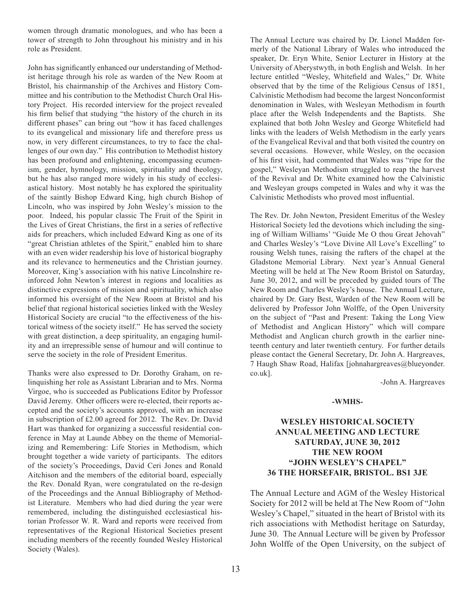women through dramatic monologues, and who has been a tower of strength to John throughout his ministry and in his role as President.

John has significantly enhanced our understanding of Methodist heritage through his role as warden of the New Room at Bristol, his chairmanship of the Archives and History Committee and his contribution to the Methodist Church Oral History Project. His recorded interview for the project revealed his firm belief that studying "the history of the church in its different phases" can bring out "how it has faced challenges to its evangelical and missionary life and therefore press us now, in very different circumstances, to try to face the challenges of our own day." His contribution to Methodist history has been profound and enlightening, encompassing ecumenism, gender, hymnology, mission, spirituality and theology, but he has also ranged more widely in his study of ecclesiastical history. Most notably he has explored the spirituality of the saintly Bishop Edward King, high church Bishop of Lincoln, who was inspired by John Wesley's mission to the poor. Indeed, his popular classic The Fruit of the Spirit in the Lives of Great Christians, the first in a series of reflective aids for preachers, which included Edward King as one of its "great Christian athletes of the Spirit," enabled him to share with an even wider readership his love of historical biography and its relevance to hermeneutics and the Christian journey. Moreover, King's association with his native Lincolnshire reinforced John Newton's interest in regions and localities as distinctive expressions of mission and spirituality, which also informed his oversight of the New Room at Bristol and his belief that regional historical societies linked with the Wesley Historical Society are crucial "to the effectiveness of the historical witness of the society itself." He has served the society with great distinction, a deep spirituality, an engaging humility and an irrepressible sense of humour and will continue to serve the society in the role of President Emeritus.

Thanks were also expressed to Dr. Dorothy Graham, on relinquishing her role as Assistant Librarian and to Mrs. Norma Virgoe, who is succeeded as Publications Editor by Professor David Jeremy. Other officers were re-elected, their reports accepted and the society's accounts approved, with an increase in subscription of £2.00 agreed for 2012. The Rev. Dr. David Hart was thanked for organizing a successful residential conference in May at Launde Abbey on the theme of Memorializing and Remembering: Life Stories in Methodism, which brought together a wide variety of participants. The editors of the society's Proceedings, David Ceri Jones and Ronald Aitchison and the members of the editorial board, especially the Rev. Donald Ryan, were congratulated on the re-design of the Proceedings and the Annual Bibliography of Methodist Literature. Members who had died during the year were remembered, including the distinguished ecclesiastical historian Professor W. R. Ward and reports were received from representatives of the Regional Historical Societies present including members of the recently founded Wesley Historical Society (Wales).

The Annual Lecture was chaired by Dr. Lionel Madden formerly of the National Library of Wales who introduced the speaker, Dr. Eryn White, Senior Lecturer in History at the University of Aberystwyth, in both English and Welsh. In her lecture entitled "Wesley, Whitefield and Wales," Dr. White observed that by the time of the Religious Census of 1851, Calvinistic Methodism had become the largest Nonconformist denomination in Wales, with Wesleyan Methodism in fourth place after the Welsh Independents and the Baptists. She explained that both John Wesley and George Whitefield had links with the leaders of Welsh Methodism in the early years of the Evangelical Revival and that both visited the country on several occasions. However, while Wesley, on the occasion of his first visit, had commented that Wales was "ripe for the gospel," Wesleyan Methodism struggled to reap the harvest of the Revival and Dr. White examined how the Calvinistic and Wesleyan groups competed in Wales and why it was the Calvinistic Methodists who proved most influential.

The Rev. Dr. John Newton, President Emeritus of the Wesley Historical Society led the devotions which including the singing of William Williams' "Guide Me O thou Great Jehovah" and Charles Wesley's "Love Divine All Love's Excelling" to rousing Welsh tunes, raising the rafters of the chapel at the Gladstone Memorial Library. Next year's Annual General Meeting will be held at The New Room Bristol on Saturday, June 30, 2012, and will be preceded by guided tours of The New Room and Charles Wesley's house. The Annual Lecture, chaired by Dr. Gary Best, Warden of the New Room will be delivered by Professor John Wolffe, of the Open University on the subject of "Past and Present: Taking the Long View of Methodist and Anglican History" which will compare Methodist and Anglican church growth in the earlier nineteenth century and later twentieth century. For further details please contact the General Secretary, Dr. John A. Hargreaves, 7 Haugh Shaw Road, Halifax [johnahargreaves@blueyonder. co.uk].

-John A. Hargreaves

#### **-WMHS-**

#### **WESLEY HISTORICAL SOCIETY ANNUAL MEETING AND LECTURE SATURDAY, JUNE 30, 2012 THE NEW ROOM "JOHN WESLEY'S CHAPEL" 36 THE HORSEFAIR, BRISTOL. BS1 3JE**

The Annual Lecture and AGM of the Wesley Historical Society for 2012 will be held at The New Room of "John Wesley's Chapel," situated in the heart of Bristol with its rich associations with Methodist heritage on Saturday, June 30. The Annual Lecture will be given by Professor John Wolffe of the Open University, on the subject of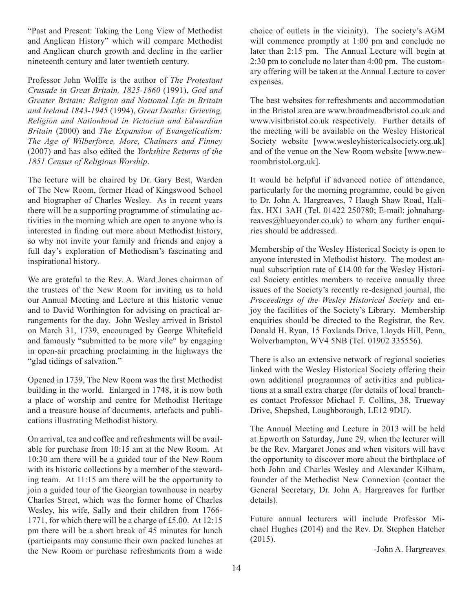"Past and Present: Taking the Long View of Methodist and Anglican History" which will compare Methodist and Anglican church growth and decline in the earlier nineteenth century and later twentieth century.

Professor John Wolffe is the author of *The Protestant Crusade in Great Britain, 1825-1860* (1991), *God and Greater Britain: Religion and National Life in Britain and Ireland 1843-1945* (1994), *Great Deaths: Grieving, Religion and Nationhood in Victorian and Edwardian Britain* (2000) and *The Expansion of Evangelicalism: The Age of Wilberforce, More, Chalmers and Finney* (2007) and has also edited the *Yorkshire Returns of the 1851 Census of Religious Worship*.

The lecture will be chaired by Dr. Gary Best, Warden of The New Room, former Head of Kingswood School and biographer of Charles Wesley. As in recent years there will be a supporting programme of stimulating activities in the morning which are open to anyone who is interested in finding out more about Methodist history, so why not invite your family and friends and enjoy a full day's exploration of Methodism's fascinating and inspirational history.

We are grateful to the Rev. A. Ward Jones chairman of the trustees of the New Room for inviting us to hold our Annual Meeting and Lecture at this historic venue and to David Worthington for advising on practical arrangements for the day. John Wesley arrived in Bristol on March 31, 1739, encouraged by George Whitefield and famously "submitted to be more vile" by engaging in open-air preaching proclaiming in the highways the "glad tidings of salvation."

Opened in 1739, The New Room was the first Methodist building in the world. Enlarged in 1748, it is now both a place of worship and centre for Methodist Heritage and a treasure house of documents, artefacts and publications illustrating Methodist history.

On arrival, tea and coffee and refreshments will be available for purchase from 10:15 am at the New Room. At 10:30 am there will be a guided tour of the New Room with its historic collections by a member of the stewarding team. At 11:15 am there will be the opportunity to join a guided tour of the Georgian townhouse in nearby Charles Street, which was the former home of Charles Wesley, his wife, Sally and their children from 1766- 1771, for which there will be a charge of £5.00. At 12:15 pm there will be a short break of 45 minutes for lunch (participants may consume their own packed lunches at the New Room or purchase refreshments from a wide

choice of outlets in the vicinity). The society's AGM will commence promptly at 1:00 pm and conclude no later than 2:15 pm. The Annual Lecture will begin at 2:30 pm to conclude no later than 4:00 pm. The customary offering will be taken at the Annual Lecture to cover expenses.

The best websites for refreshments and accommodation in the Bristol area are www.broadmeadbristol.co.uk and www.visitbristol.co.uk respectively. Further details of the meeting will be available on the Wesley Historical Society website [www.wesleyhistoricalsociety.org.uk] and of the venue on the New Room website [www.newroombristol.org.uk].

It would be helpful if advanced notice of attendance, particularly for the morning programme, could be given to Dr. John A. Hargreaves, 7 Haugh Shaw Road, Halifax. HX1 3AH (Tel. 01422 250780; E-mail: johnahargreaves@blueyonder.co.uk) to whom any further enquiries should be addressed.

Membership of the Wesley Historical Society is open to anyone interested in Methodist history. The modest annual subscription rate of £14.00 for the Wesley Historical Society entitles members to receive annually three issues of the Society's recently re-designed journal, the *Proceedings of the Wesley Historical Society* and enjoy the facilities of the Society's Library. Membership enquiries should be directed to the Registrar, the Rev. Donald H. Ryan, 15 Foxlands Drive, Lloyds Hill, Penn, Wolverhampton, WV4 5NB (Tel. 01902 335556).

There is also an extensive network of regional societies linked with the Wesley Historical Society offering their own additional programmes of activities and publications at a small extra charge (for details of local branches contact Professor Michael F. Collins, 38, Trueway Drive, Shepshed, Loughborough, LE12 9DU).

The Annual Meeting and Lecture in 2013 will be held at Epworth on Saturday, June 29, when the lecturer will be the Rev. Margaret Jones and when visitors will have the opportunity to discover more about the birthplace of both John and Charles Wesley and Alexander Kilham, founder of the Methodist New Connexion (contact the General Secretary, Dr. John A. Hargreaves for further details).

Future annual lecturers will include Professor Michael Hughes (2014) and the Rev. Dr. Stephen Hatcher (2015).

-John A. Hargreaves